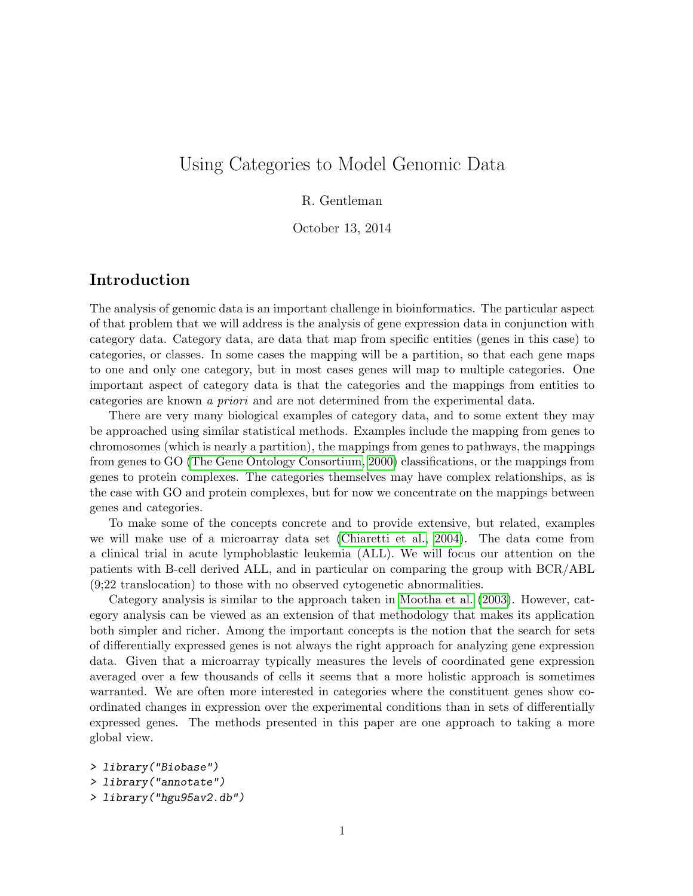# Using Categories to Model Genomic Data

## R. Gentleman

October 13, 2014

## Introduction

The analysis of genomic data is an important challenge in bioinformatics. The particular aspect of that problem that we will address is the analysis of gene expression data in conjunction with category data. Category data, are data that map from specific entities (genes in this case) to categories, or classes. In some cases the mapping will be a partition, so that each gene maps to one and only one category, but in most cases genes will map to multiple categories. One important aspect of category data is that the categories and the mappings from entities to categories are known a priori and are not determined from the experimental data.

There are very many biological examples of category data, and to some extent they may be approached using similar statistical methods. Examples include the mapping from genes to chromosomes (which is nearly a partition), the mappings from genes to pathways, the mappings from genes to GO [\(The Gene Ontology Consortium, 2000\)](#page-13-0) classifications, or the mappings from genes to protein complexes. The categories themselves may have complex relationships, as is the case with GO and protein complexes, but for now we concentrate on the mappings between genes and categories.

To make some of the concepts concrete and to provide extensive, but related, examples we will make use of a microarray data set [\(Chiaretti et al., 2004\)](#page-13-1). The data come from a clinical trial in acute lymphoblastic leukemia (ALL). We will focus our attention on the patients with B-cell derived ALL, and in particular on comparing the group with BCR/ABL (9;22 translocation) to those with no observed cytogenetic abnormalities.

Category analysis is similar to the approach taken in [Mootha et al.](#page-13-2) [\(2003\)](#page-13-2). However, category analysis can be viewed as an extension of that methodology that makes its application both simpler and richer. Among the important concepts is the notion that the search for sets of differentially expressed genes is not always the right approach for analyzing gene expression data. Given that a microarray typically measures the levels of coordinated gene expression averaged over a few thousands of cells it seems that a more holistic approach is sometimes warranted. We are often more interested in categories where the constituent genes show coordinated changes in expression over the experimental conditions than in sets of differentially expressed genes. The methods presented in this paper are one approach to taking a more global view.

```
> library("Biobase")
> library("annotate")
> library("hgu95av2.db")
```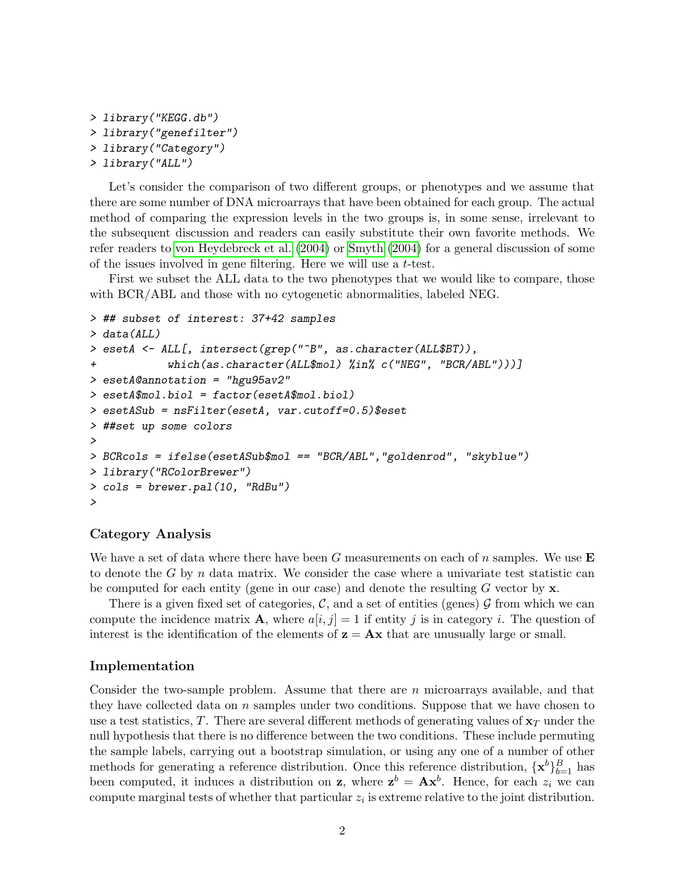```
> library("KEGG.db")
> library("genefilter")
> library("Category")
> library("ALL")
```
Let's consider the comparison of two different groups, or phenotypes and we assume that there are some number of DNA microarrays that have been obtained for each group. The actual method of comparing the expression levels in the two groups is, in some sense, irrelevant to the subsequent discussion and readers can easily substitute their own favorite methods. We refer readers to [von Heydebreck et al.](#page-13-3) [\(2004\)](#page-13-3) or [Smyth](#page-13-4) [\(2004\)](#page-13-4) for a general discussion of some of the issues involved in gene filtering. Here we will use a t-test.

First we subset the ALL data to the two phenotypes that we would like to compare, those with BCR/ABL and those with no cytogenetic abnormalities, labeled NEG.

```
> ## subset of interest: 37+42 samples
> data(ALL)
> esetA <- ALL[, intersect(grep("^B", as.character(ALL$BT)),
+ which(as.character(ALL$mol) %in% c("NEG", "BCR/ABL")))]
> esetA@annotation = "hgu95av2"
> esetA$mol.biol = factor(esetA$mol.biol)
> esetASub = nsFilter(esetA, var.cutoff=0.5)$eset
> ##set up some colors
>
> BCRcols = ifelse(esetASub$mol == "BCR/ABL","goldenrod", "skyblue")
> library("RColorBrewer")
> cols = brewer.pal(10, "RdBu")
>
```
### Category Analysis

We have a set of data where there have been G measurements on each of n samples. We use  $E$ to denote the G by n data matrix. We consider the case where a univariate test statistic can be computed for each entity (gene in our case) and denote the resulting  $G$  vector by  $\mathbf{x}$ .

There is a given fixed set of categories,  $\mathcal{C}$ , and a set of entities (genes)  $\mathcal{G}$  from which we can compute the incidence matrix **A**, where  $a[i, j] = 1$  if entity j is in category i. The question of interest is the identification of the elements of  $z = Ax$  that are unusually large or small.

### Implementation

Consider the two-sample problem. Assume that there are n microarrays available, and that they have collected data on  $n$  samples under two conditions. Suppose that we have chosen to use a test statistics, T. There are several different methods of generating values of  $\mathbf{x}_T$  under the null hypothesis that there is no difference between the two conditions. These include permuting the sample labels, carrying out a bootstrap simulation, or using any one of a number of other methods for generating a reference distribution. Once this reference distribution,  $\{\mathbf{x}^b\}_{b=1}^B$  has been computed, it induces a distribution on **z**, where  $z^b = Ax^b$ . Hence, for each  $z_i$  we can compute marginal tests of whether that particular  $z_i$  is extreme relative to the joint distribution.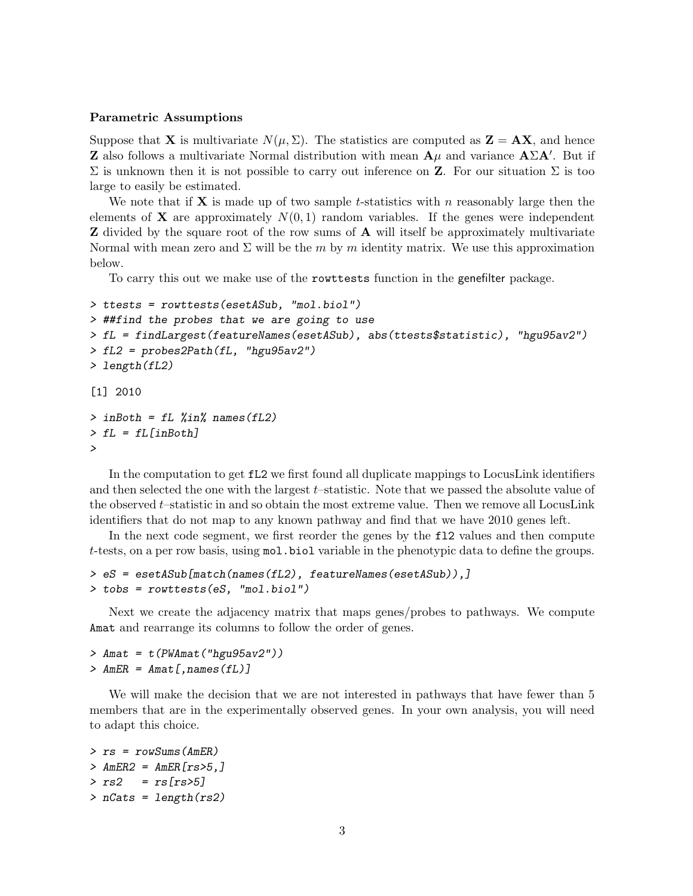#### Parametric Assumptions

Suppose that **X** is multivariate  $N(\mu, \Sigma)$ . The statistics are computed as  $\mathbf{Z} = \mathbf{AX}$ , and hence **Z** also follows a multivariate Normal distribution with mean  $\mathbf{A}\mu$  and variance  $\mathbf{A}\Sigma\mathbf{A}'$ . But if  $\Sigma$  is unknown then it is not possible to carry out inference on **Z**. For our situation  $\Sigma$  is too large to easily be estimated.

We note that if  $X$  is made up of two sample t-statistics with n reasonably large then the elements of **X** are approximately  $N(0, 1)$  random variables. If the genes were independent **Z** divided by the square root of the row sums of **A** will itself be approximately multivariate Normal with mean zero and  $\Sigma$  will be the m by m identity matrix. We use this approximation below.

To carry this out we make use of the rowttests function in the genefilter package.

```
> ttests = rowttests(esetASub, "mol.biol")
> ##find the probes that we are going to use
> fL = findLargest(featureNames(esetASub), abs(ttests$statistic), "hgu95av2")
> fL2 = probes2Path(fL, "hgu95av2")
> length(fL2)
[1] 2010
> inBoth = fL %in% names(fL2)
> fL = fL[inBoth]
>
```
In the computation to get fL2 we first found all duplicate mappings to LocusLink identifiers and then selected the one with the largest t–statistic. Note that we passed the absolute value of the observed t–statistic in and so obtain the most extreme value. Then we remove all LocusLink identifiers that do not map to any known pathway and find that we have 2010 genes left.

In the next code segment, we first reorder the genes by the fl2 values and then compute t-tests, on a per row basis, using mol.biol variable in the phenotypic data to define the groups.

```
> eS = esetASub[match(names(fL2), featureNames(esetASub)),]
> tobs = rowttests(eS, "mol.biol")
```
Next we create the adjacency matrix that maps genes/probes to pathways. We compute Amat and rearrange its columns to follow the order of genes.

 $>$  Amat = t(PWAmat("hgu95av2"))  $>$  AmER = Amat[, names(fL)]

We will make the decision that we are not interested in pathways that have fewer than 5 members that are in the experimentally observed genes. In your own analysis, you will need to adapt this choice.

```
> rs = rowSums(AmER)
> AmER2 = AmER[rs>5,]
> rs2 = rs[rs>5]> nCats = length(rs2)
```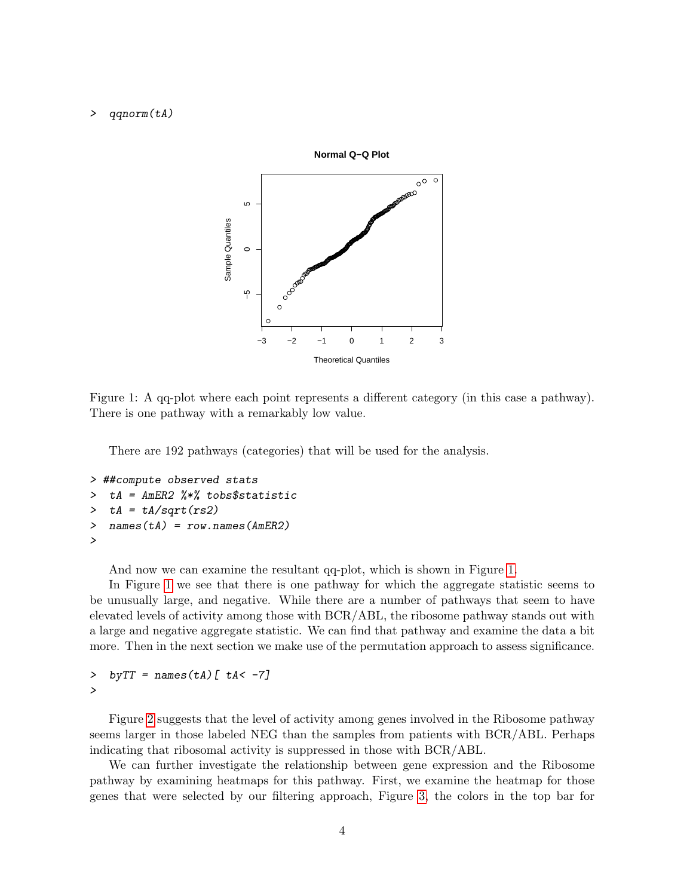#### > qqnorm(tA)



<span id="page-3-0"></span>Figure 1: A qq-plot where each point represents a different category (in this case a pathway). There is one pathway with a remarkably low value.

There are 192 pathways (categories) that will be used for the analysis.

```
> ##compute observed stats
> tA = AmER2 %*% tobs$statistic
> tA = tA/sqrt(rs2)> names(tA) = row.names(AmER2)
>
```
And now we can examine the resultant qq-plot, which is shown in Figure [1.](#page-3-0)

In Figure [1](#page-3-0) we see that there is one pathway for which the aggregate statistic seems to be unusually large, and negative. While there are a number of pathways that seem to have elevated levels of activity among those with BCR/ABL, the ribosome pathway stands out with a large and negative aggregate statistic. We can find that pathway and examine the data a bit more. Then in the next section we make use of the permutation approach to assess significance.

```
> by TT = \text{names}(\text{tA}) [ \text{tA} < -7]
>
```
Figure [2](#page-4-0) suggests that the level of activity among genes involved in the Ribosome pathway seems larger in those labeled NEG than the samples from patients with BCR/ABL. Perhaps indicating that ribosomal activity is suppressed in those with BCR/ABL.

We can further investigate the relationship between gene expression and the Ribosome pathway by examining heatmaps for this pathway. First, we examine the heatmap for those genes that were selected by our filtering approach, Figure [3,](#page-5-0) the colors in the top bar for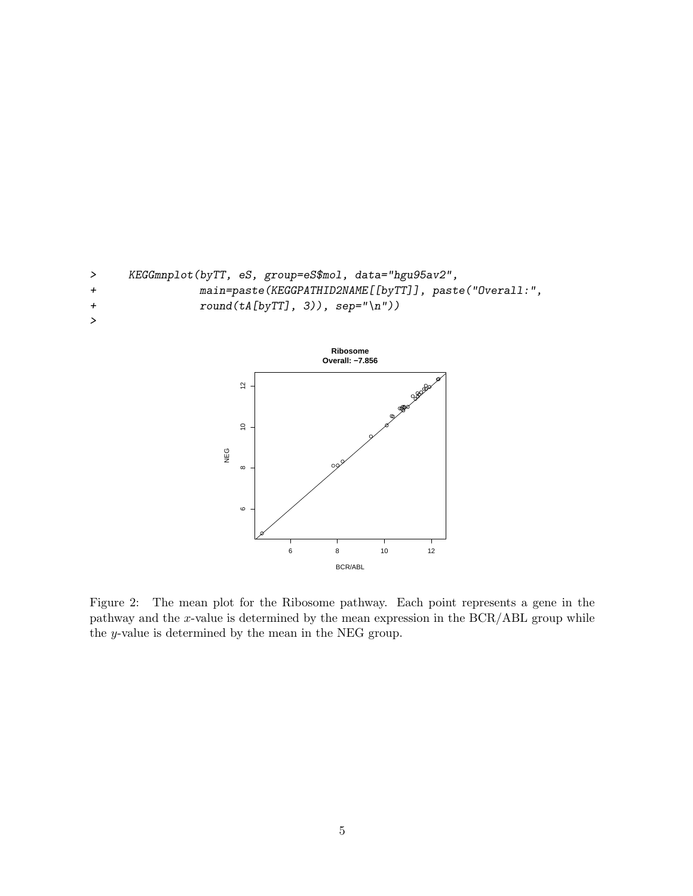



<span id="page-4-0"></span>Figure 2: The mean plot for the Ribosome pathway. Each point represents a gene in the pathway and the x-value is determined by the mean expression in the BCR/ABL group while the y-value is determined by the mean in the NEG group.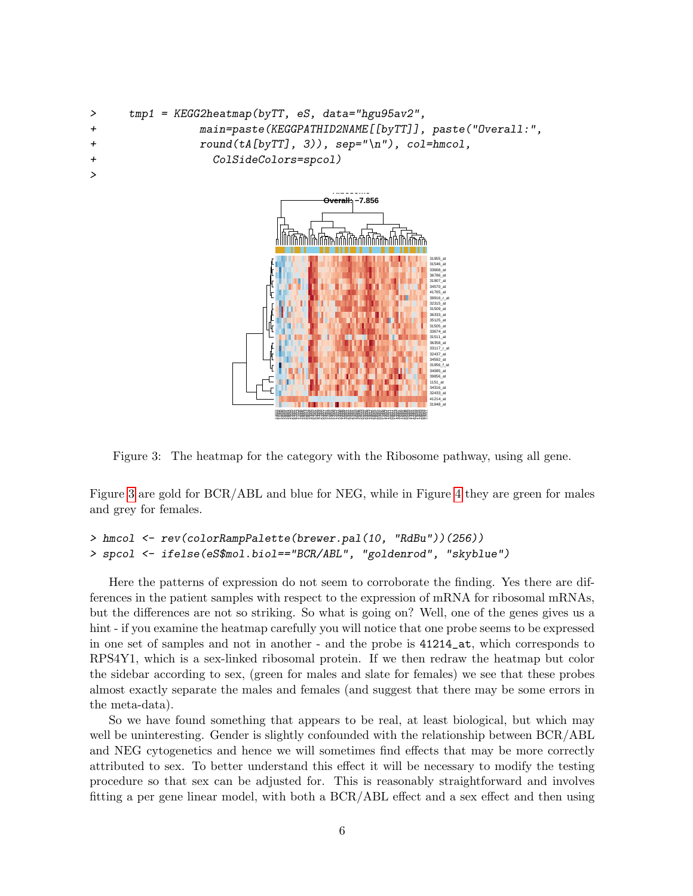```
> tmp1 = KEGG2heatmap(byTT, eS, data="hgu95av2",
+ main=paste(KEGGPATHID2NAME[[byTT]], paste("Overall:",
+ round(tA[byTT], 3)), sep="\n"), col=hmcol,
+ ColSideColors=spcol)
>
```


<span id="page-5-0"></span>Figure 3: The heatmap for the category with the Ribosome pathway, using all gene.

Figure [3](#page-5-0) are gold for BCR/ABL and blue for NEG, while in Figure [4](#page-6-0) they are green for males and grey for females.

```
> hmcol <- rev(colorRampPalette(brewer.pal(10, "RdBu"))(256))
> spcol <- ifelse(eS$mol.biol=="BCR/ABL", "goldenrod", "skyblue")
```
Here the patterns of expression do not seem to corroborate the finding. Yes there are differences in the patient samples with respect to the expression of mRNA for ribosomal mRNAs, but the differences are not so striking. So what is going on? Well, one of the genes gives us a hint - if you examine the heatmap carefully you will notice that one probe seems to be expressed in one set of samples and not in another - and the probe is 41214\_at, which corresponds to RPS4Y1, which is a sex-linked ribosomal protein. If we then redraw the heatmap but color the sidebar according to sex, (green for males and slate for females) we see that these probes almost exactly separate the males and females (and suggest that there may be some errors in the meta-data).

So we have found something that appears to be real, at least biological, but which may well be uninteresting. Gender is slightly confounded with the relationship between BCR/ABL and NEG cytogenetics and hence we will sometimes find effects that may be more correctly attributed to sex. To better understand this effect it will be necessary to modify the testing procedure so that sex can be adjusted for. This is reasonably straightforward and involves fitting a per gene linear model, with both a BCR/ABL effect and a sex effect and then using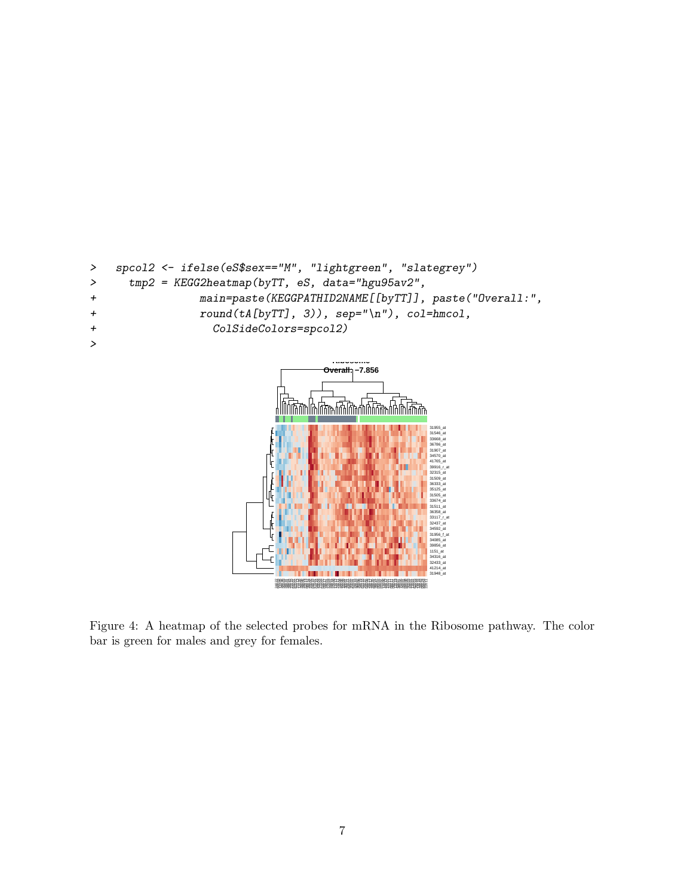```
> spcol2 <- ifelse(eS$sex=="M", "lightgreen", "slategrey")
> tmp2 = KEGG2heatmap(byTT, eS, data="hgu95av2",
+ main=paste(KEGGPATHID2NAME[[byTT]], paste("Overall:",
+ round(tA[byTT], 3), sep="\n', col=hmcol,
+ ColSideColors=spcol2)
>
                                 Ribosome
                                    Overall: −7.856
                         31955_at
                                              31546_at
                                              33668_at
```


<span id="page-6-0"></span>Figure 4: A heatmap of the selected probes for mRNA in the Ribosome pathway. The color bar is green for males and grey for females.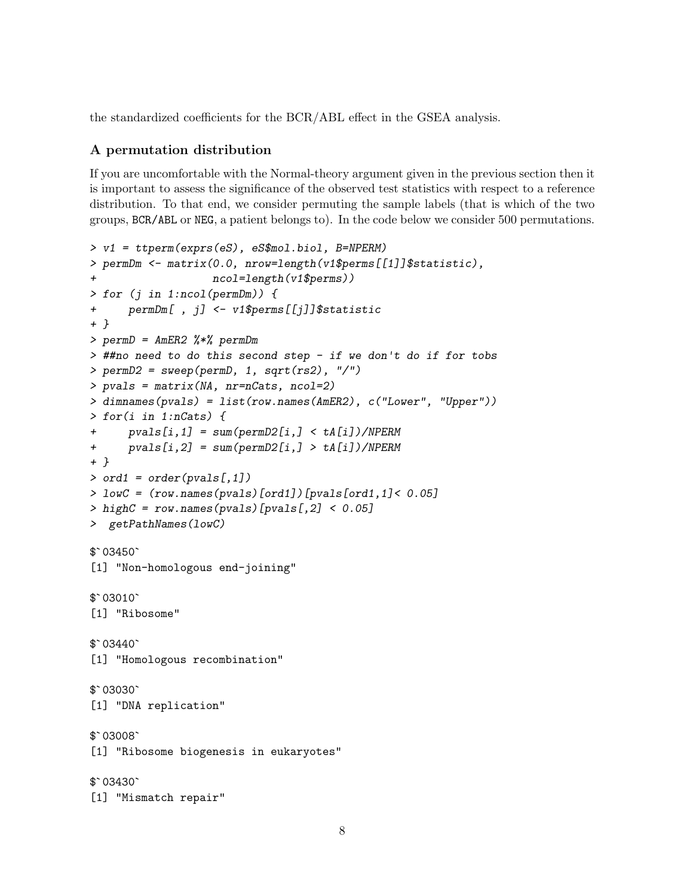the standardized coefficients for the BCR/ABL effect in the GSEA analysis.

### A permutation distribution

If you are uncomfortable with the Normal-theory argument given in the previous section then it is important to assess the significance of the observed test statistics with respect to a reference distribution. To that end, we consider permuting the sample labels (that is which of the two groups, BCR/ABL or NEG, a patient belongs to). In the code below we consider 500 permutations.

```
> v1 = ttperm(exprs(eS), eS$mol.biol, B=NPERM)
> permDm <- matrix(0.0, nrow=length(v1$perms[[1]]$statistic),
                     ncol=length(v1$perms))
> for (j in 1:ncol(permDm)) {
+ permDm[ , j] <- v1$perms[[j]]$statistic
+ }
> permD = AmER2 %*% permDm
> ##no need to do this second step - if we don't do if for tobs
> permD2 = sweep(permD, 1, sqrt(rs2), "/")
> pvals = matrix(NA, nr=nCats, ncol=2)
> dimnames(pvals) = list(row.names(AmER2), c("Lower", "Upper"))
> for(i in 1:nCats) {
+ pvals[i,1] = sum(permD2[i,] < tA[i])/NPERM
+ pvals[i, 2] = sum(permD2[i, ] > tA[i])/NPERM+ }
> ord1 = order(pvals[,1])
> lowC = (row.names(pvals)[ord1])[pvals[ord1,1]< 0.05]
> highC = row.names(pvals)[pvals[,2] < 0.05]
$`03450`
> getPathNames(lowC)
[1] "Non-homologous end-joining"
$`03450`<br>[1] "Non<br>$`03010`
[1] "Ribosome"
$`03010`<br>[1] "Rib<br>$`03440`
[1] "Homologous recombination"
$`03440`<br>[1] "Hom<br>$`03030`
[1] "DNA replication"
$`03030`<br>[1] "DNA<br>$`03008`
[1] "Ribosome biogenesis in eukaryotes"
$`03008`<br>[1] "Rib<br>$`03430`
[1] "Mismatch repair"
```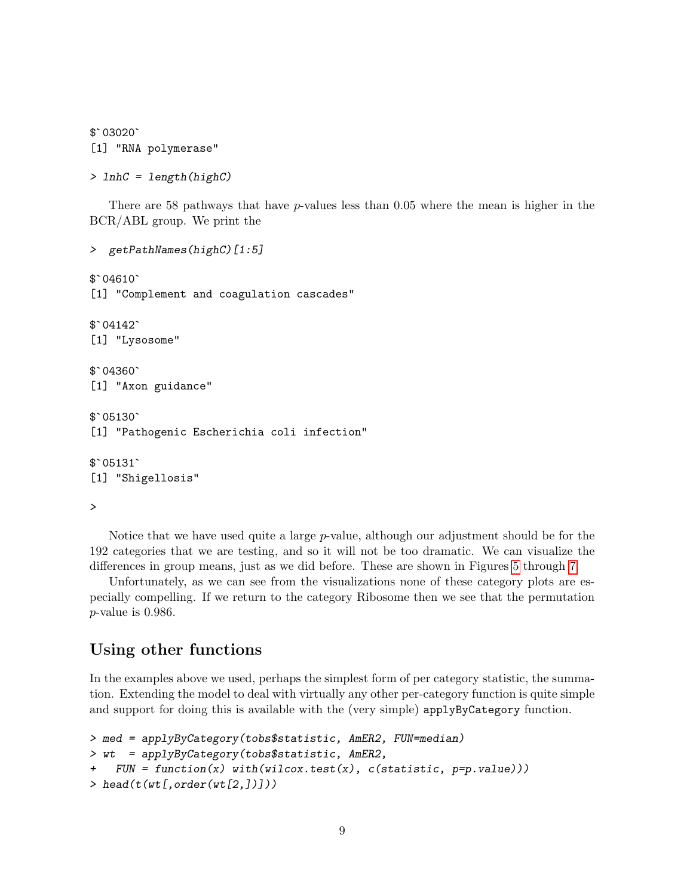```
$`03020`
[1] "RNA polymerase"
```

```
> lnhC = length(highC)
```
There are 58 pathways that have  $p$ -values less than 0.05 where the mean is higher in the BCR/ABL group. We print the

```
> getPathNames(highC)[1:5]
> getPa<br>$`04610`
[1] "Complement and coagulation cascades"
$`04610`<br>[1] "Com<br>$`04142`
[1] "Lysosome"
$`04142`<br>[1] "Lys<br>$`04360`
[1] "Axon guidance"
$`04360`<br>[1] "Axo<br>$`05130`
[1] "Pathogenic Escherichia coli infection"
$`05130`<br>[1] "Pat<br>$`05131`
[1] "Shigellosis"
```
>

Notice that we have used quite a large  $p$ -value, although our adjustment should be for the 192 categories that we are testing, and so it will not be too dramatic. We can visualize the differences in group means, just as we did before. These are shown in Figures [5](#page-9-0) through [7.](#page-11-0)

Unfortunately, as we can see from the visualizations none of these category plots are especially compelling. If we return to the category Ribosome then we see that the permutation p-value is 0.986.

## Using other functions

In the examples above we used, perhaps the simplest form of per category statistic, the summation. Extending the model to deal with virtually any other per-category function is quite simple and support for doing this is available with the (very simple) applyByCategory function.

```
> med = applyByCategory(tobs$statistic, AmER2, FUN=median)
> wt = applyByCategory(tobs$statistic, AmER2,
+ FUN = function(x) with(wilcox.test(x), c(statistic, p=p.value)))
> head(t(wt[, order(wt[2,]])))
```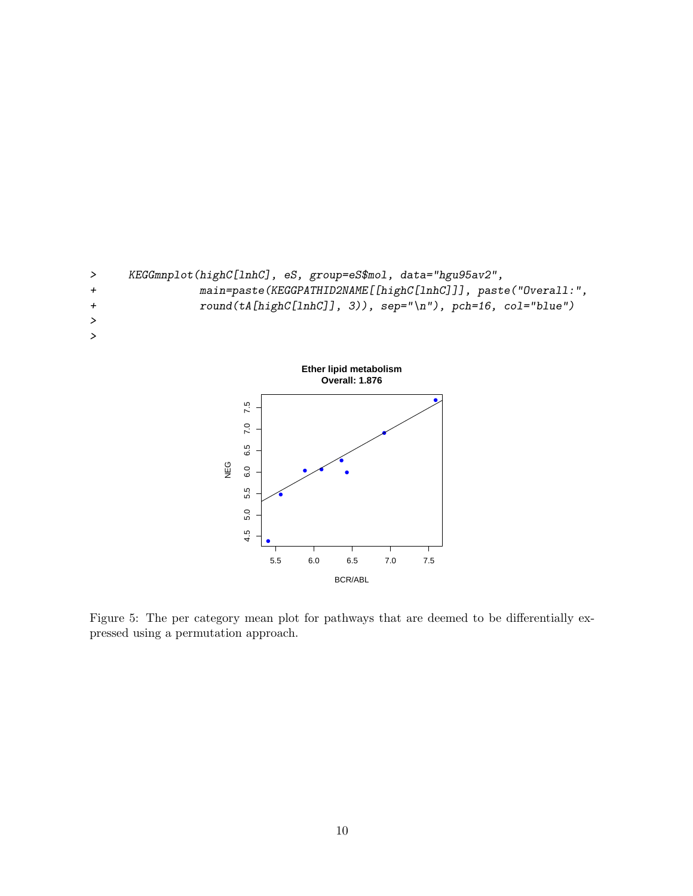



<span id="page-9-0"></span>Figure 5: The per category mean plot for pathways that are deemed to be differentially expressed using a permutation approach.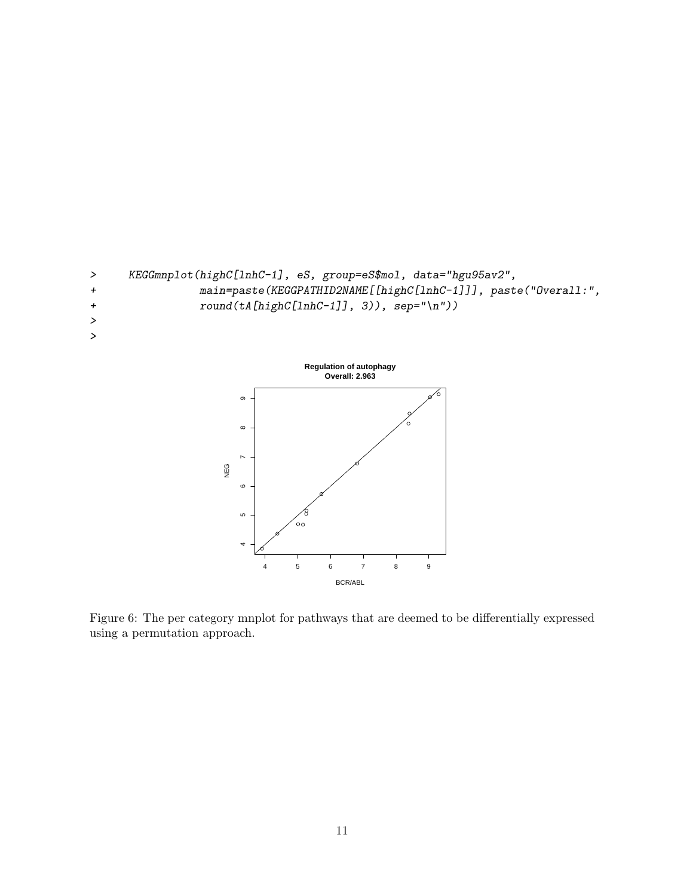



Figure 6: The per category mnplot for pathways that are deemed to be differentially expressed using a permutation approach.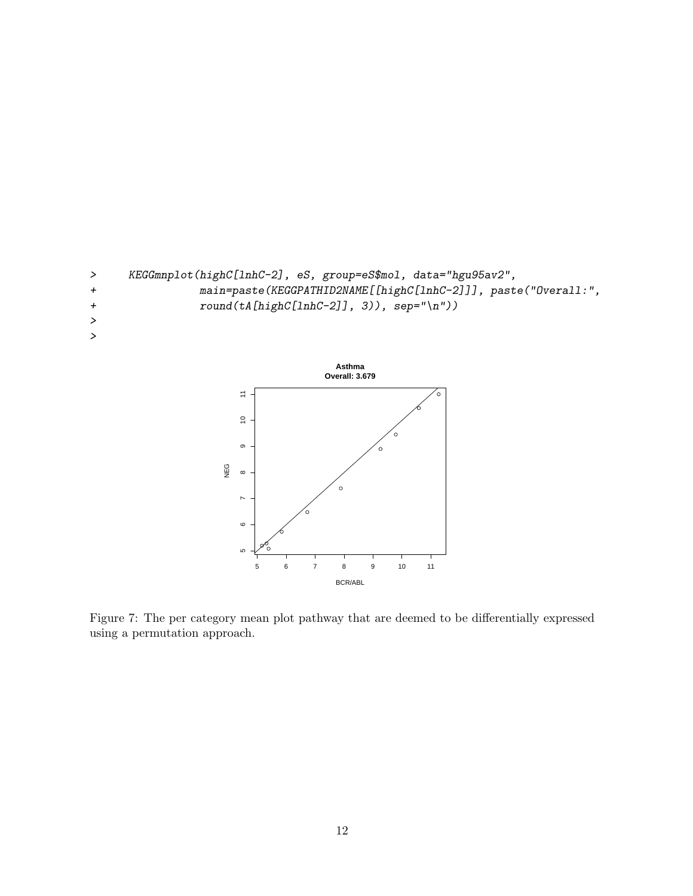



<span id="page-11-0"></span>Figure 7: The per category mean plot pathway that are deemed to be differentially expressed using a permutation approach.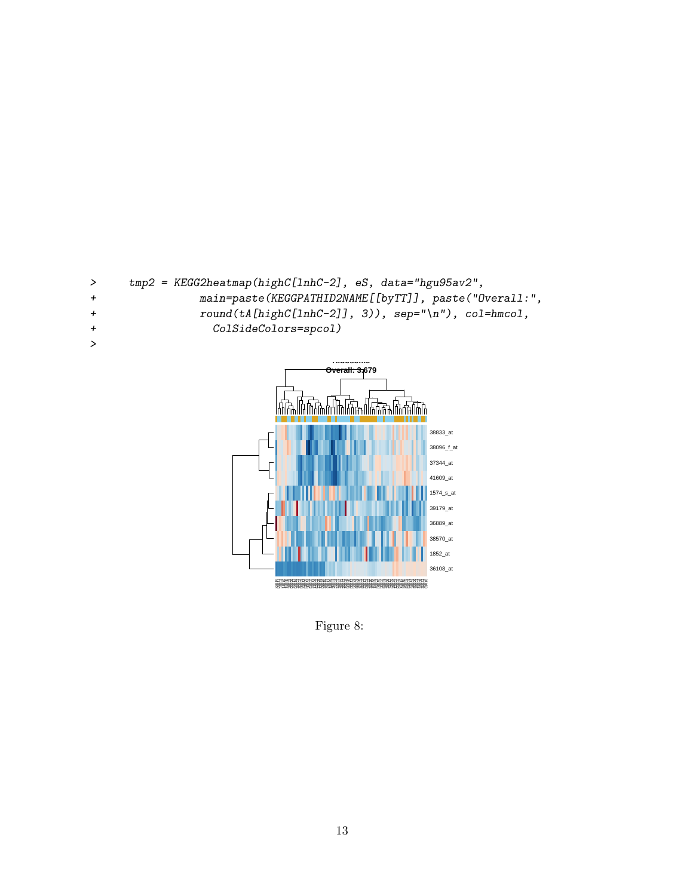



Figure 8: